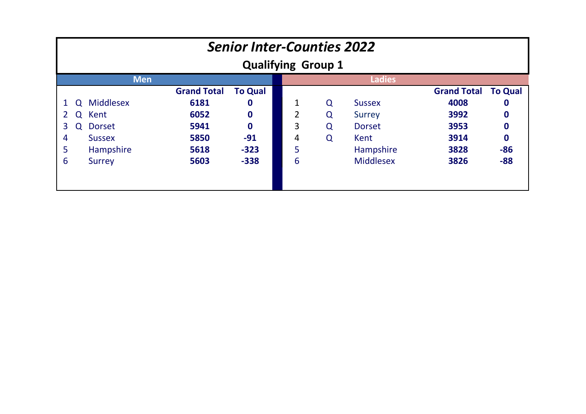|                       | <b>Senior Inter-Counties 2022</b><br><b>Qualifying Group 1</b> |                  |                    |                |   |   |                  |                    |                |  |  |  |
|-----------------------|----------------------------------------------------------------|------------------|--------------------|----------------|---|---|------------------|--------------------|----------------|--|--|--|
|                       |                                                                | <b>Men</b>       |                    |                |   |   | <b>Ladies</b>    |                    |                |  |  |  |
|                       |                                                                |                  | <b>Grand Total</b> | <b>To Qual</b> |   |   |                  | <b>Grand Total</b> | <b>To Qual</b> |  |  |  |
|                       | $\Omega$                                                       | <b>Middlesex</b> | 6181               | 0              | 1 | Q | <b>Sussex</b>    | 4008               | 0              |  |  |  |
| $\mathbf{2}^{\prime}$ | Q                                                              | Kent             | 6052               | $\mathbf 0$    | 2 | Q | <b>Surrey</b>    | 3992               | 0              |  |  |  |
| 3                     | Q                                                              | <b>Dorset</b>    | 5941               | $\bf{0}$       | 3 | Q | <b>Dorset</b>    | 3953               | 0              |  |  |  |
| 4                     |                                                                | <b>Sussex</b>    | 5850               | $-91$          | 4 | Q | Kent             | 3914               | 0              |  |  |  |
| 5                     |                                                                | Hampshire        | 5618               | $-323$         | 5 |   | Hampshire        | 3828               | $-86$          |  |  |  |
| 6                     |                                                                | Surrey           | 5603               | $-338$         | 6 |   | <b>Middlesex</b> | 3826               | $-88$          |  |  |  |
|                       |                                                                |                  |                    |                |   |   |                  |                    |                |  |  |  |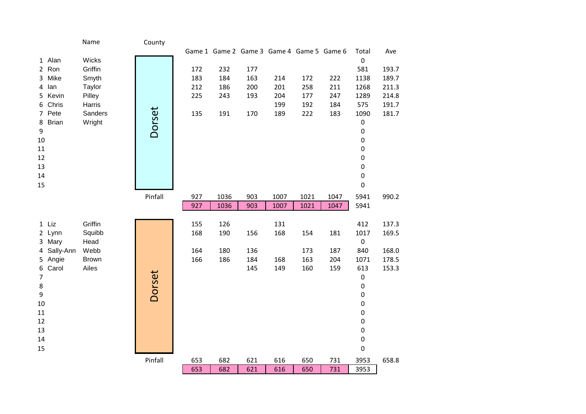|                           | Name              | County  |     |      |     |            |                                           |            |                  |                |
|---------------------------|-------------------|---------|-----|------|-----|------------|-------------------------------------------|------------|------------------|----------------|
|                           |                   |         |     |      |     |            | Game 1 Game 2 Game 3 Game 4 Game 5 Game 6 |            | Total            | Ave            |
| 1 Alan                    | Wicks             |         |     |      |     |            |                                           |            | $\pmb{0}$        |                |
| 2 Ron                     | Griffin           |         | 172 | 232  | 177 |            |                                           |            | 581              | 193.7          |
| Mike<br>$\mathbf{3}$      | Smyth             |         | 183 | 184  | 163 | 214        | 172                                       | 222        | 1138             | 189.7          |
| lan<br>4                  | Taylor            |         | 212 | 186  | 200 | 201        | 258                                       | 211        | 1268             | 211.3          |
| 5 Kevin                   | Pilley            |         | 225 | 243  | 193 | 204<br>199 | 177                                       | 247        | 1289             | 214.8          |
| Chris<br>6<br>7 Pete      | Harris<br>Sanders |         | 135 | 191  | 170 | 189        | 192<br>222                                | 184<br>183 | 575<br>1090      | 191.7<br>181.7 |
| <b>Brian</b><br>8         | Wright            | Dorset  |     |      |     |            |                                           |            | $\pmb{0}$        |                |
| 9                         |                   |         |     |      |     |            |                                           |            | $\pmb{0}$        |                |
| 10                        |                   |         |     |      |     |            |                                           |            | $\pmb{0}$        |                |
| 11                        |                   |         |     |      |     |            |                                           |            | $\pmb{0}$        |                |
| 12                        |                   |         |     |      |     |            |                                           |            | $\pmb{0}$        |                |
| 13                        |                   |         |     |      |     |            |                                           |            | $\pmb{0}$        |                |
| 14                        |                   |         |     |      |     |            |                                           |            | $\pmb{0}$        |                |
| 15                        |                   |         |     |      |     |            |                                           |            | $\pmb{0}$        |                |
|                           |                   | Pinfall | 927 | 1036 | 903 | 1007       | 1021                                      | 1047       | 5941             | 990.2          |
|                           |                   |         | 927 | 1036 | 903 | 1007       | 1021                                      | 1047       | 5941             |                |
|                           |                   |         |     |      |     |            |                                           |            |                  |                |
| 1 Liz                     | Griffin           |         | 155 | 126  |     | 131        |                                           |            | 412              | 137.3          |
| 2 Lynn                    | Squibb            |         | 168 | 190  | 156 | 168        | 154                                       | 181        | 1017             | 169.5          |
| 3 Mary                    | Head              |         |     |      |     |            |                                           |            | $\pmb{0}$        |                |
| 4 Sally-Ann               | Webb              |         | 164 | 180  | 136 |            | 173                                       | 187        | 840              | 168.0          |
| 5 Angie                   | <b>Brown</b>      |         | 166 | 186  | 184 | 168        | 163                                       | 204        | 1071             | 178.5          |
| 6 Carol<br>$\overline{7}$ | Ailes             |         |     |      | 145 | 149        | 160                                       | 159        | 613<br>$\pmb{0}$ | 153.3          |
| $\bf 8$                   |                   | Dorset  |     |      |     |            |                                           |            | $\pmb{0}$        |                |
| $\boldsymbol{9}$          |                   |         |     |      |     |            |                                           |            | $\pmb{0}$        |                |
| 10                        |                   |         |     |      |     |            |                                           |            | $\pmb{0}$        |                |
| 11                        |                   |         |     |      |     |            |                                           |            | $\pmb{0}$        |                |
| 12                        |                   |         |     |      |     |            |                                           |            | $\pmb{0}$        |                |
| 13                        |                   |         |     |      |     |            |                                           |            | $\pmb{0}$        |                |
| 14                        |                   |         |     |      |     |            |                                           |            | $\pmb{0}$        |                |
| 15                        |                   |         |     |      |     |            |                                           |            | $\pmb{0}$        |                |
|                           |                   | Pinfall | 653 | 682  | 621 | 616        | 650                                       | 731        | 3953             | 658.8          |
|                           |                   |         | 653 | 682  | 621 | 616        | 650                                       | 731        | 3953             |                |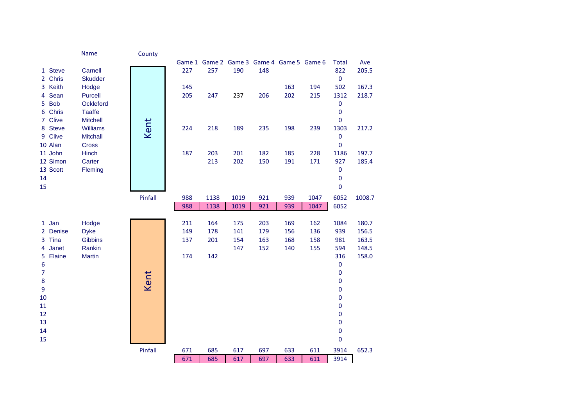|                         | Name                               | County  |     |      |      |     |                                           |      |                        |        |
|-------------------------|------------------------------------|---------|-----|------|------|-----|-------------------------------------------|------|------------------------|--------|
|                         |                                    |         |     |      |      |     | Game 1 Game 2 Game 3 Game 4 Game 5 Game 6 |      | <b>Total</b>           | Ave    |
| 1 Steve                 | Carnell                            |         | 227 | 257  | 190  | 148 |                                           |      | 822                    | 205.5  |
| Chris<br>$\overline{2}$ | <b>Skudder</b>                     |         |     |      |      |     |                                           |      | $\pmb{0}$              |        |
| Keith<br>$\overline{3}$ | Hodge                              |         | 145 |      |      |     | 163                                       | 194  | 502                    | 167.3  |
| Sean<br>4               | Purcell                            |         | 205 | 247  | 237  | 206 | 202                                       | 215  | 1312                   | 218.7  |
| <b>Bob</b><br>5.        | Ockleford                          |         |     |      |      |     |                                           |      | $\pmb{0}$              |        |
| Chris<br>6.             | <b>Taaffe</b>                      |         |     |      |      |     |                                           |      | $\pmb{0}$              |        |
| 7 Clive<br>8 Steve      | <b>Mitchell</b><br><b>Williams</b> | Kent    |     |      |      |     |                                           |      | $\pmb{0}$              |        |
| <b>Clive</b><br>9       | <b>Mitchall</b>                    |         | 224 | 218  | 189  | 235 | 198                                       | 239  | 1303<br>$\pmb{0}$      | 217.2  |
| 10 Alan                 | Cross                              |         |     |      |      |     |                                           |      | $\pmb{0}$              |        |
| 11 John                 | <b>Hinch</b>                       |         | 187 | 203  | 201  | 182 | 185                                       | 228  | 1186                   | 197.7  |
| 12 Simon                | Carter                             |         |     | 213  | 202  | 150 | 191                                       | 171  | 927                    | 185.4  |
| 13 Scott                | Fleming                            |         |     |      |      |     |                                           |      | $\pmb{0}$              |        |
| 14                      |                                    |         |     |      |      |     |                                           |      | $\pmb{0}$              |        |
| 15                      |                                    |         |     |      |      |     |                                           |      | $\mathbf 0$            |        |
|                         |                                    | Pinfall | 988 | 1138 | 1019 | 921 | 939                                       | 1047 | 6052                   | 1008.7 |
|                         |                                    |         | 988 | 1138 | 1019 | 921 | 939                                       | 1047 | 6052                   |        |
|                         |                                    |         |     |      |      |     |                                           |      |                        |        |
| 1 Jan                   | Hodge                              |         | 211 | 164  | 175  | 203 | 169                                       | 162  | 1084                   | 180.7  |
| 2 Denise                | <b>Dyke</b>                        |         | 149 | 178  | 141  | 179 | 156                                       | 136  | 939                    | 156.5  |
| Tina<br>3               | <b>Gibbins</b>                     |         | 137 | 201  | 154  | 163 | 168                                       | 158  | 981                    | 163.5  |
| Janet<br>4              | Rankin                             |         |     |      | 147  | 152 | 140                                       | 155  | 594                    | 148.5  |
| Elaine<br>5             | <b>Martin</b>                      |         | 174 | 142  |      |     |                                           |      | 316                    | 158.0  |
| 6                       |                                    |         |     |      |      |     |                                           |      | $\pmb{0}$              |        |
| $\overline{7}$          |                                    | Kent    |     |      |      |     |                                           |      | $\pmb{0}$              |        |
| 8                       |                                    |         |     |      |      |     |                                           |      | $\mathbf 0$            |        |
| 9                       |                                    |         |     |      |      |     |                                           |      | $\pmb{0}$              |        |
| 10                      |                                    |         |     |      |      |     |                                           |      | $\pmb{0}$              |        |
| 11<br>12                |                                    |         |     |      |      |     |                                           |      | $\pmb{0}$<br>$\pmb{0}$ |        |
| 13                      |                                    |         |     |      |      |     |                                           |      | $\pmb{0}$              |        |
| 14                      |                                    |         |     |      |      |     |                                           |      | $\pmb{0}$              |        |
| 15                      |                                    |         |     |      |      |     |                                           |      | $\pmb{0}$              |        |
|                         |                                    | Pinfall | 671 | 685  | 617  | 697 | 633                                       | 611  | 3914                   | 652.3  |
|                         |                                    |         | 671 | 685  | 617  | 697 | 633                                       | 611  | 3914                   |        |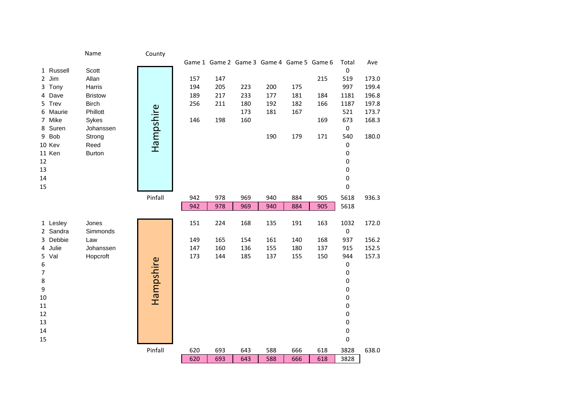|                       | Name           | County    |            |            |                                           |     |     |     |                    |       |
|-----------------------|----------------|-----------|------------|------------|-------------------------------------------|-----|-----|-----|--------------------|-------|
| 1 Russell             | Scott          |           |            |            | Game 1 Game 2 Game 3 Game 4 Game 5 Game 6 |     |     |     | Total<br>$\pmb{0}$ | Ave   |
| Jim<br>$\overline{2}$ | Allan          |           | 157        | 147        |                                           |     |     | 215 | 519                | 173.0 |
| Tony<br>3             | Harris         |           | 194        | 205        | 223                                       | 200 | 175 |     | 997                | 199.4 |
| Dave<br>4             | <b>Bristow</b> |           | 189        | 217        | 233                                       | 177 | 181 | 184 | 1181               | 196.8 |
| 5 Trev                | <b>Birch</b>   |           | 256        | 211        | 180                                       | 192 | 182 | 166 | 1187               | 197.8 |
| Maurie<br>6           | Phillott       |           |            |            | 173                                       | 181 | 167 |     | 521                | 173.7 |
| Mike<br>$7^{\circ}$   | Sykes          |           | 146        | 198        | 160                                       |     |     | 169 | 673                | 168.3 |
| Suren<br>8            | Johanssen      |           |            |            |                                           |     |     |     | $\pmb{0}$          |       |
| 9 Bob                 | Strong         | Hampshire |            |            |                                           | 190 | 179 | 171 | 540                | 180.0 |
| 10 Kev                | Reed           |           |            |            |                                           |     |     |     | 0                  |       |
| 11 Ken                | <b>Burton</b>  |           |            |            |                                           |     |     |     | 0                  |       |
| 12                    |                |           |            |            |                                           |     |     |     | 0                  |       |
| 13<br>14              |                |           |            |            |                                           |     |     |     | 0<br>0             |       |
| 15                    |                |           |            |            |                                           |     |     |     | 0                  |       |
|                       |                |           |            |            |                                           |     |     |     |                    |       |
|                       |                | Pinfall   | 942<br>942 | 978<br>978 | 969                                       | 940 | 884 | 905 | 5618               | 936.3 |
|                       |                |           |            |            | 969                                       | 940 | 884 | 905 | 5618               |       |
| 1 Lesley              | Jones          |           | 151        | 224        | 168                                       | 135 | 191 | 163 | 1032               | 172.0 |
| 2 Sandra              | Simmonds       |           |            |            |                                           |     |     |     | $\mathsf 0$        |       |
| Debbie<br>3           | Law            |           | 149        | 165        | 154                                       | 161 | 140 | 168 | 937                | 156.2 |
| Julie<br>4            | Johanssen      |           | 147        | 160        | 136                                       | 155 | 180 | 137 | 915                | 152.5 |
| 5 Val                 | Hopcroft       |           | 173        | 144        | 185                                       | 137 | 155 | 150 | 944                | 157.3 |
| 6                     |                | Hampshire |            |            |                                           |     |     |     | 0                  |       |
| $\overline{7}$        |                |           |            |            |                                           |     |     |     | 0                  |       |
| 8                     |                |           |            |            |                                           |     |     |     | 0                  |       |
| 9                     |                |           |            |            |                                           |     |     |     | 0                  |       |
| 10<br>11              |                |           |            |            |                                           |     |     |     | 0<br>0             |       |
| 12                    |                |           |            |            |                                           |     |     |     | 0                  |       |
| 13                    |                |           |            |            |                                           |     |     |     | 0                  |       |
| 14                    |                |           |            |            |                                           |     |     |     | 0                  |       |
| 15                    |                |           |            |            |                                           |     |     |     | 0                  |       |
|                       |                | Pinfall   | 620        | 693        | 643                                       | 588 | 666 | 618 | 3828               | 638.0 |
|                       |                |           | 620        | 693        | 643                                       | 588 | 666 | 618 | 3828               |       |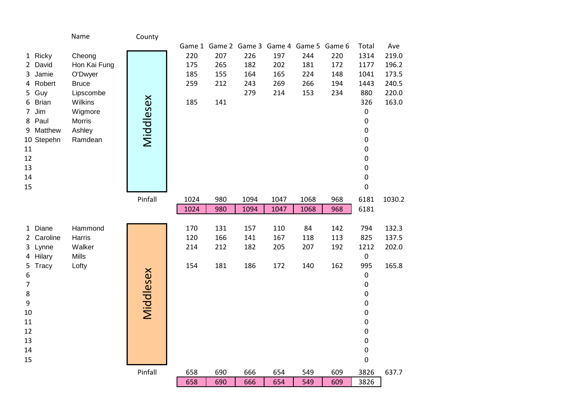|                         | Name              | County    |      |     |      |      |                                           |     |                        |        |
|-------------------------|-------------------|-----------|------|-----|------|------|-------------------------------------------|-----|------------------------|--------|
|                         |                   |           |      |     |      |      | Game 1 Game 2 Game 3 Game 4 Game 5 Game 6 |     | Total                  | Ave    |
| 1 Ricky                 | Cheong            |           | 220  | 207 | 226  | 197  | 244                                       | 220 | 1314                   | 219.0  |
| 2 David                 | Hon Kai Fung      |           | 175  | 265 | 182  | 202  | 181                                       | 172 | 1177                   | 196.2  |
| 3 Jamie                 | O'Dwyer           |           | 185  | 155 | 164  | 165  | 224                                       | 148 | 1041                   | 173.5  |
| 4 Robert                | <b>Bruce</b>      |           | 259  | 212 | 243  | 269  | 266                                       | 194 | 1443                   | 240.5  |
| 5 Guy                   | Lipscombe         |           |      |     | 279  | 214  | 153                                       | 234 | 880                    | 220.0  |
| 6 Brian                 | Wilkins           |           | 185  | 141 |      |      |                                           |     | 326                    | 163.0  |
| Jim<br>$\overline{7}$   | Wigmore           |           |      |     |      |      |                                           |     | $\pmb{0}$              |        |
| 8 Paul                  | <b>Morris</b>     |           |      |     |      |      |                                           |     | $\mathbf 0$            |        |
| 9 Matthew<br>10 Stepehn | Ashley<br>Ramdean | Middlesex |      |     |      |      |                                           |     | $\pmb{0}$<br>$\pmb{0}$ |        |
| 11                      |                   |           |      |     |      |      |                                           |     | $\pmb{0}$              |        |
| 12                      |                   |           |      |     |      |      |                                           |     | $\pmb{0}$              |        |
| 13                      |                   |           |      |     |      |      |                                           |     | $\pmb{0}$              |        |
| 14                      |                   |           |      |     |      |      |                                           |     | $\pmb{0}$              |        |
| 15                      |                   |           |      |     |      |      |                                           |     | 0                      |        |
|                         |                   | Pinfall   | 1024 | 980 | 1094 | 1047 | 1068                                      | 968 | 6181                   | 1030.2 |
|                         |                   |           | 1024 | 980 | 1094 | 1047 | 1068                                      | 968 | 6181                   |        |
|                         |                   |           |      |     |      |      |                                           |     |                        |        |
| 1 Diane                 | Hammond           |           | 170  | 131 | 157  | 110  | 84                                        | 142 | 794                    | 132.3  |
| 2 Caroline              | Harris            |           | 120  | 166 | 141  | 167  | 118                                       | 113 | 825                    | 137.5  |
| 3 Lynne                 | Walker            |           | 214  | 212 | 182  | 205  | 207                                       | 192 | 1212                   | 202.0  |
| 4 Hilary                | Mills             |           |      |     |      |      |                                           |     | $\pmb{0}$              |        |
| 5 Tracy                 | Lofty             |           | 154  | 181 | 186  | 172  | 140                                       | 162 | 995                    | 165.8  |
| 6                       |                   |           |      |     |      |      |                                           |     | $\pmb{0}$              |        |
| $\overline{7}$          |                   |           |      |     |      |      |                                           |     | $\pmb{0}$<br>$\pmb{0}$ |        |
| 8<br>9                  |                   | Middlesex |      |     |      |      |                                           |     | $\pmb{0}$              |        |
| 10                      |                   |           |      |     |      |      |                                           |     | $\pmb{0}$              |        |
| 11                      |                   |           |      |     |      |      |                                           |     | $\pmb{0}$              |        |
| 12                      |                   |           |      |     |      |      |                                           |     | $\mathbf 0$            |        |
| 13                      |                   |           |      |     |      |      |                                           |     | $\pmb{0}$              |        |
| 14                      |                   |           |      |     |      |      |                                           |     | $\pmb{0}$              |        |
| 15                      |                   |           |      |     |      |      |                                           |     | $\pmb{0}$              |        |
|                         |                   | Pinfall   | 658  | 690 | 666  | 654  | 549                                       | 609 | 3826                   | 637.7  |
|                         |                   |           | 658  | 690 | 666  | 654  | 549                                       | 609 | 3826                   |        |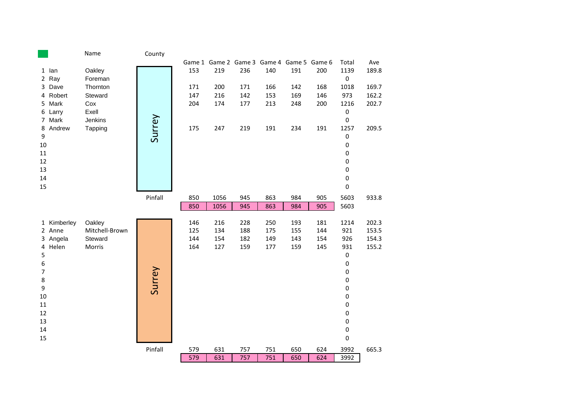|                  |                | Name              | County  |            |            |            |            |                                           |            |                          |       |
|------------------|----------------|-------------------|---------|------------|------------|------------|------------|-------------------------------------------|------------|--------------------------|-------|
|                  |                |                   |         |            |            |            |            | Game 1 Game 2 Game 3 Game 4 Game 5 Game 6 |            | Total                    | Ave   |
|                  | 1 lan<br>2 Ray | Oakley<br>Foreman |         | 153        | 219        | 236        | 140        | 191                                       | 200        | 1139<br>$\pmb{0}$        | 189.8 |
|                  | 3 Dave         | Thornton          |         | 171        | 200        | 171        | 166        | 142                                       | 168        | 1018                     | 169.7 |
|                  | 4 Robert       | Steward           |         | 147        | 216        | 142        | 153        | 169                                       | 146        | 973                      | 162.2 |
|                  | 5 Mark         | Cox               |         | 204        | 174        | 177        | 213        | 248                                       | 200        | 1216                     | 202.7 |
|                  | 6 Larry        | Exell             |         |            |            |            |            |                                           |            | $\pmb{0}$                |       |
|                  | 7 Mark         | Jenkins           |         |            |            |            |            |                                           |            | $\pmb{0}$                |       |
|                  | 8 Andrew       | Tapping           | Surrey  | 175        | 247        | 219        | 191        | 234                                       | 191        | 1257                     | 209.5 |
| 9                |                |                   |         |            |            |            |            |                                           |            | $\mathbf 0$              |       |
| 10               |                |                   |         |            |            |            |            |                                           |            | $\mathbf 0$              |       |
| 11               |                |                   |         |            |            |            |            |                                           |            | $\mathbf 0$              |       |
| 12               |                |                   |         |            |            |            |            |                                           |            | $\mathbf 0$              |       |
| 13               |                |                   |         |            |            |            |            |                                           |            | $\mathbf 0$<br>$\pmb{0}$ |       |
| 14<br>15         |                |                   |         |            |            |            |            |                                           |            | $\pmb{0}$                |       |
|                  |                |                   |         |            |            |            |            |                                           |            |                          |       |
|                  |                |                   | Pinfall | 850        | 1056       | 945        | 863        | 984                                       | 905        | 5603                     | 933.8 |
|                  |                |                   |         | 850        | 1056       | 945        | 863        | 984                                       | 905        | 5603                     |       |
|                  | 1 Kimberley    | Oakley            |         |            |            |            |            |                                           |            |                          | 202.3 |
|                  | 2 Anne         | Mitchell-Brown    |         | 146<br>125 | 216<br>134 | 228<br>188 | 250<br>175 | 193<br>155                                | 181<br>144 | 1214<br>921              | 153.5 |
|                  | 3 Angela       | Steward           |         | 144        | 154        | 182        | 149        | 143                                       | 154        | 926                      | 154.3 |
|                  | 4 Helen        | Morris            |         | 164        | 127        | 159        | 177        | 159                                       | 145        | 931                      | 155.2 |
| 5                |                |                   |         |            |            |            |            |                                           |            | $\pmb{0}$                |       |
| $\boldsymbol{6}$ |                |                   |         |            |            |            |            |                                           |            | $\pmb{0}$                |       |
| $\overline{7}$   |                |                   | Surrey  |            |            |            |            |                                           |            | $\pmb{0}$                |       |
| $\bf 8$          |                |                   |         |            |            |            |            |                                           |            | $\pmb{0}$                |       |
| $\boldsymbol{9}$ |                |                   |         |            |            |            |            |                                           |            | $\pmb{0}$                |       |
| 10               |                |                   |         |            |            |            |            |                                           |            | $\pmb{0}$                |       |
| 11               |                |                   |         |            |            |            |            |                                           |            | $\pmb{0}$                |       |
| 12               |                |                   |         |            |            |            |            |                                           |            | $\pmb{0}$                |       |
| 13               |                |                   |         |            |            |            |            |                                           |            | $\pmb{0}$                |       |
| 14               |                |                   |         |            |            |            |            |                                           |            | $\pmb{0}$                |       |
| 15               |                |                   |         |            |            |            |            |                                           |            | $\pmb{0}$                |       |
|                  |                |                   | Pinfall | 579        | 631        | 757        | 751        | 650                                       | 624        | 3992                     | 665.3 |
|                  |                |                   |         | 579        | 631        | 757        | 751        | 650                                       | 624        | 3992                     |       |